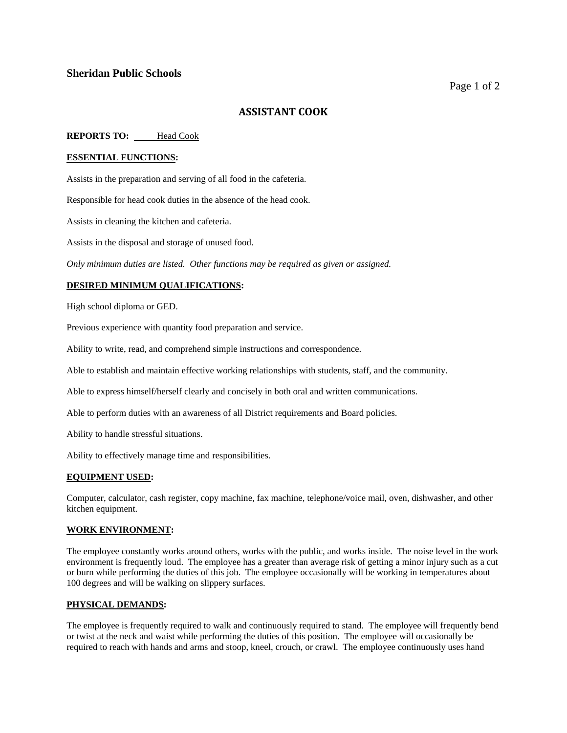# **Sheridan Public Schools**

# **ASSISTANT COOK**

## **REPORTS TO:** Head Cook

### **ESSENTIAL FUNCTIONS:**

Assists in the preparation and serving of all food in the cafeteria.

Responsible for head cook duties in the absence of the head cook.

Assists in cleaning the kitchen and cafeteria.

Assists in the disposal and storage of unused food.

*Only minimum duties are listed. Other functions may be required as given or assigned.*

## **DESIRED MINIMUM QUALIFICATIONS:**

High school diploma or GED.

Previous experience with quantity food preparation and service.

Ability to write, read, and comprehend simple instructions and correspondence.

Able to establish and maintain effective working relationships with students, staff, and the community.

Able to express himself/herself clearly and concisely in both oral and written communications.

Able to perform duties with an awareness of all District requirements and Board policies.

Ability to handle stressful situations.

Ability to effectively manage time and responsibilities.

### **EQUIPMENT USED:**

Computer, calculator, cash register, copy machine, fax machine, telephone/voice mail, oven, dishwasher, and other kitchen equipment.

### **WORK ENVIRONMENT:**

The employee constantly works around others, works with the public, and works inside. The noise level in the work environment is frequently loud. The employee has a greater than average risk of getting a minor injury such as a cut or burn while performing the duties of this job. The employee occasionally will be working in temperatures about 100 degrees and will be walking on slippery surfaces.

### **PHYSICAL DEMANDS:**

The employee is frequently required to walk and continuously required to stand. The employee will frequently bend or twist at the neck and waist while performing the duties of this position. The employee will occasionally be required to reach with hands and arms and stoop, kneel, crouch, or crawl. The employee continuously uses hand